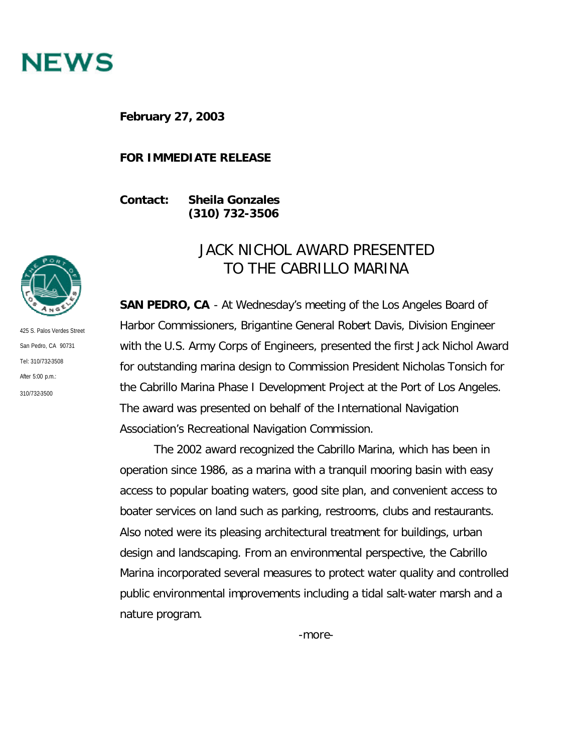

**February 27, 2003**

## **FOR IMMEDIATE RELEASE**

**Contact: Sheila Gonzales (310) 732-3506**

425 S. Palos Verdes Street San Pedro, CA 90731 Tel: 310/732-3508 After 5:00 p.m.: 310/732-3500

## JACK NICHOL AWARD PRESENTED TO THE CABRILLO MARINA

**SAN PEDRO, CA** - At Wednesday's meeting of the Los Angeles Board of Harbor Commissioners, Brigantine General Robert Davis, Division Engineer with the U.S. Army Corps of Engineers, presented the first Jack Nichol Award for outstanding marina design to Commission President Nicholas Tonsich for the Cabrillo Marina Phase I Development Project at the Port of Los Angeles. The award was presented on behalf of the International Navigation Association's Recreational Navigation Commission.

The 2002 award recognized the Cabrillo Marina, which has been in operation since 1986, as a marina with a tranquil mooring basin with easy access to popular boating waters, good site plan, and convenient access to boater services on land such as parking, restrooms, clubs and restaurants. Also noted were its pleasing architectural treatment for buildings, urban design and landscaping. From an environmental perspective, the Cabrillo Marina incorporated several measures to protect water quality and controlled public environmental improvements including a tidal salt-water marsh and a nature program.

-more-